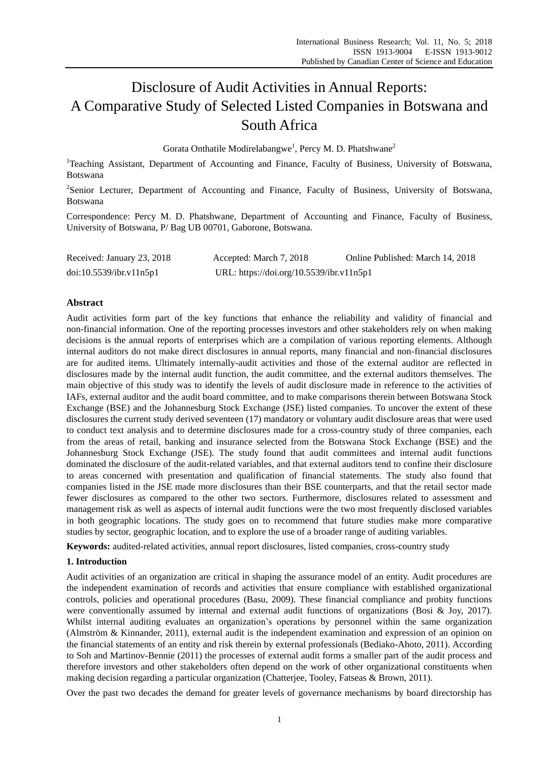# Disclosure of Audit Activities in Annual Reports: A Comparative Study of Selected Listed Companies in Botswana and South Africa

Gorata Onthatile Modirelabangwe<sup>1</sup>, Percy M. D. Phatshwane<sup>2</sup>

<sup>1</sup>Teaching Assistant, Department of Accounting and Finance, Faculty of Business, University of Botswana, Botswana

<sup>2</sup>Senior Lecturer, Department of Accounting and Finance, Faculty of Business, University of Botswana, Botswana

Correspondence: Percy M. D. Phatshwane, Department of Accounting and Finance, Faculty of Business, University of Botswana, P/ Bag UB 00701, Gaborone, Botswana.

| Received: January 23, 2018 | Accepted: March 7, 2018                  | Online Published: March 14, 2018 |
|----------------------------|------------------------------------------|----------------------------------|
| doi:10.5539/ibr.v11n5p1    | URL: https://doi.org/10.5539/ibr.v11n5p1 |                                  |

# **Abstract**

Audit activities form part of the key functions that enhance the reliability and validity of financial and non-financial information. One of the reporting processes investors and other stakeholders rely on when making decisions is the annual reports of enterprises which are a compilation of various reporting elements. Although internal auditors do not make direct disclosures in annual reports, many financial and non-financial disclosures are for audited items. Ultimately internally-audit activities and those of the external auditor are reflected in disclosures made by the internal audit function, the audit committee, and the external auditors themselves. The main objective of this study was to identify the levels of audit disclosure made in reference to the activities of IAFs, external auditor and the audit board committee, and to make comparisons therein between Botswana Stock Exchange (BSE) and the Johannesburg Stock Exchange (JSE) listed companies. To uncover the extent of these disclosures the current study derived seventeen (17) mandatory or voluntary audit disclosure areas that were used to conduct text analysis and to determine disclosures made for a cross-country study of three companies, each from the areas of retail, banking and insurance selected from the Botswana Stock Exchange (BSE) and the Johannesburg Stock Exchange (JSE). The study found that audit committees and internal audit functions dominated the disclosure of the audit-related variables, and that external auditors tend to confine their disclosure to areas concerned with presentation and qualification of financial statements. The study also found that companies listed in the JSE made more disclosures than their BSE counterparts, and that the retail sector made fewer disclosures as compared to the other two sectors. Furthermore, disclosures related to assessment and management risk as well as aspects of internal audit functions were the two most frequently disclosed variables in both geographic locations. The study goes on to recommend that future studies make more comparative studies by sector, geographic location, and to explore the use of a broader range of auditing variables.

**Keywords:** audited-related activities, annual report disclosures, listed companies, cross-country study

# **1. Introduction**

Audit activities of an organization are critical in shaping the assurance model of an entity. Audit procedures are the independent examination of records and activities that ensure compliance with established organizational controls, policies and operational procedures (Basu, 2009). These financial compliance and probity functions were conventionally assumed by internal and external audit functions of organizations (Bosi & Joy, 2017). Whilst internal auditing evaluates an organization's operations by personnel within the same organization (Almström & Kinnander, 2011), external audit is the independent examination and expression of an opinion on the financial statements of an entity and risk therein by external professionals (Bediako-Ahoto, 2011). According to Soh and Martinov-Bennie (2011) the processes of external audit forms a smaller part of the audit process and therefore investors and other stakeholders often depend on the work of other organizational constituents when making decision regarding a particular organization (Chatterjee, Tooley, Fatseas & Brown, 2011).

Over the past two decades the demand for greater levels of governance mechanisms by board directorship has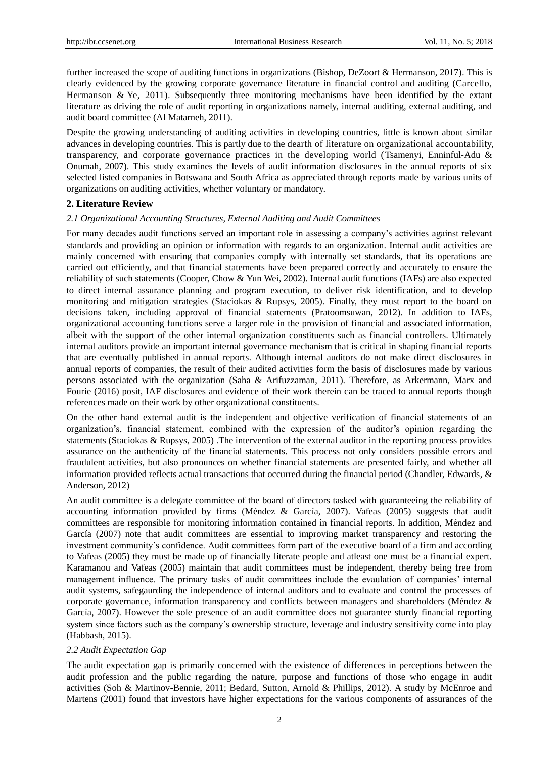further increased the scope of auditing functions in organizations (Bishop, DeZoort & Hermanson, 2017). This is clearly evidenced by the growing corporate governance literature in financial control and auditing (Carcello, Hermanson & Ye, 2011). Subsequently three monitoring mechanisms have been identified by the extant literature as driving the role of audit reporting in organizations namely, internal auditing, external auditing, and audit board committee (Al Matarneh, 2011).

Despite the growing understanding of auditing activities in developing countries, little is known about similar advances in developing countries. This is partly due to the dearth of literature on organizational accountability, transparency, and corporate governance practices in the developing world (Tsamenyi, Enninful‐Adu & Onumah, 2007). This study examines the levels of audit information disclosures in the annual reports of six selected listed companies in Botswana and South Africa as appreciated through reports made by various units of organizations on auditing activities, whether voluntary or mandatory.

#### **2. Literature Review**

#### *2.1 Organizational Accounting Structures, External Auditing and Audit Committees*

For many decades audit functions served an important role in assessing a company"s activities against relevant standards and providing an opinion or information with regards to an organization. Internal audit activities are mainly concerned with ensuring that companies comply with internally set standards, that its operations are carried out efficiently, and that financial statements have been prepared correctly and accurately to ensure the reliability of such statements (Cooper, Chow & Yun Wei, 2002). Internal audit functions (IAFs) are also expected to direct internal assurance planning and program execution, to deliver risk identification, and to develop monitoring and mitigation strategies (Staciokas & Rupsys, 2005). Finally, they must report to the board on decisions taken, including approval of financial statements (Pratoomsuwan, 2012). In addition to IAFs, organizational accounting functions serve a larger role in the provision of financial and associated information, albeit with the support of the other internal organization constituents such as financial controllers. Ultimately internal auditors provide an important internal governance mechanism that is critical in shaping financial reports that are eventually published in annual reports. Although internal auditors do not make direct disclosures in annual reports of companies, the result of their audited activities form the basis of disclosures made by various persons associated with the organization (Saha & Arifuzzaman, 2011). Therefore, as Arkermann, Marx and Fourie (2016) posit, IAF disclosures and evidence of their work therein can be traced to annual reports though references made on their work by other organizational constituents.

On the other hand external audit is the independent and objective verification of financial statements of an organization"s, financial statement, combined with the expression of the auditor"s opinion regarding the statements (Staciokas & Rupsys, 2005) .The intervention of the external auditor in the reporting process provides assurance on the authenticity of the financial statements. This process not only considers possible errors and fraudulent activities, but also pronounces on whether financial statements are presented fairly, and whether all information provided reflects actual transactions that occurred during the financial period (Chandler, Edwards, & Anderson, 2012)

An audit committee is a delegate committee of the board of directors tasked with guaranteeing the reliability of accounting information provided by firms (Méndez & García, 2007). Vafeas (2005) suggests that audit committees are responsible for monitoring information contained in financial reports. In addition, Méndez and Garc  $\acute{\text{a}}$  (2007) note that audit committees are essential to improving market transparency and restoring the investment community's confidence. Audit committees form part of the executive board of a firm and according to Vafeas (2005) they must be made up of financially literate people and atleast one must be a financial expert. Karamanou and Vafeas (2005) maintain that audit committees must be independent, thereby being free from management influence. The primary tasks of audit committees include the evaulation of companies" internal audit systems, safegaurding the independence of internal auditors and to evaluate and control the processes of corporate governance, information transparency and conflicts between managers and shareholders (Méndez & Garc  $\hat{\mathbf{a}}$ , 2007). However the sole presence of an audit committee does not guarantee sturdy financial reporting system since factors such as the company"s ownership structure, leverage and industry sensitivity come into play (Habbash, 2015).

#### *2.2 Audit Expectation Gap*

The audit expectation gap is primarily concerned with the existence of differences in perceptions between the audit profession and the public regarding the nature, purpose and functions of those who engage in audit activities (Soh & Martinov-Bennie, 2011; Bedard, Sutton, Arnold & Phillips, 2012). A study by McEnroe and Martens (2001) found that investors have higher expectations for the various components of assurances of the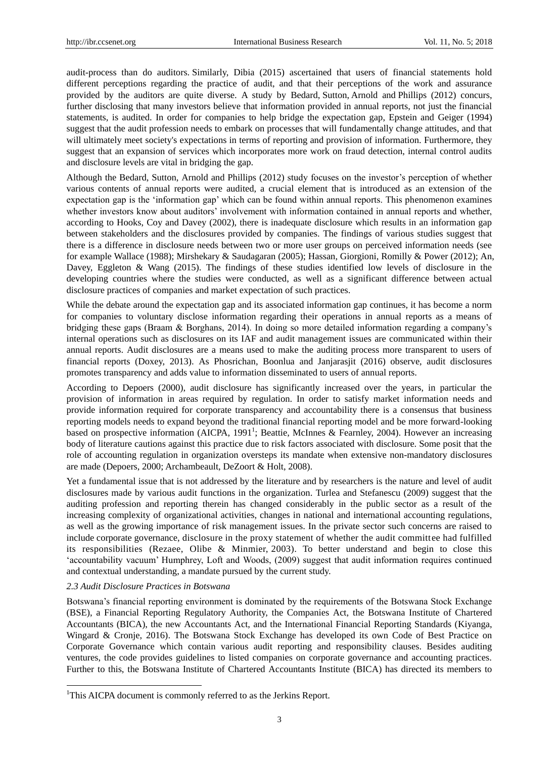audit-process than do auditors. Similarly, Dibia (2015) ascertained that users of financial statements hold different perceptions regarding the practice of audit, and that their perceptions of the work and assurance provided by the auditors are quite diverse. A study by Bedard, Sutton, Arnold and Phillips (2012) concurs, further disclosing that many investors believe that information provided in annual reports, not just the financial statements, is audited. In order for companies to help bridge the expectation gap, Epstein and Geiger (1994) suggest that the audit profession needs to embark on processes that will fundamentally change attitudes, and that will ultimately meet society's expectations in terms of reporting and provision of information. Furthermore, they suggest that an expansion of services which incorporates more work on fraud detection, internal control audits and disclosure levels are vital in bridging the gap.

Although the Bedard, Sutton, Arnold and Phillips (2012) study focuses on the investor"s perception of whether various contents of annual reports were audited, a crucial element that is introduced as an extension of the expectation gap is the "information gap" which can be found within annual reports. This phenomenon examines whether investors know about auditors' involvement with information contained in annual reports and whether, according to Hooks, Coy and Davey (2002), there is inadequate disclosure which results in an information gap between stakeholders and the disclosures provided by companies. The findings of various studies suggest that there is a difference in disclosure needs between two or more user groups on perceived information needs (see for example Wallace (1988); Mirshekary & Saudagaran (2005); Hassan, Giorgioni, Romilly & Power (2012); An, Davey, Eggleton & Wang (2015). The findings of these studies identified low levels of disclosure in the developing countries where the studies were conducted, as well as a significant difference between actual disclosure practices of companies and market expectation of such practices.

While the debate around the expectation gap and its associated information gap continues, it has become a norm for companies to voluntary disclose information regarding their operations in annual reports as a means of bridging these gaps (Braam & Borghans, 2014). In doing so more detailed information regarding a company"s internal operations such as disclosures on its IAF and audit management issues are communicated within their annual reports. Audit disclosures are a means used to make the auditing process more transparent to users of financial reports (Doxey, 2013). As Phosrichan, Boonlua and Janjarasjit (2016) observe, audit disclosures promotes transparency and adds value to information disseminated to users of annual reports.

According to Depoers (2000), audit disclosure has significantly increased over the years, in particular the provision of information in areas required by regulation. In order to satisfy market information needs and provide information required for corporate transparency and accountability there is a consensus that business reporting models needs to expand beyond the traditional financial reporting model and be more forward-looking based on prospective information (AICPA, 1991<sup>1</sup>; Beattie, McInnes & Fearnley, 2004). However an increasing body of literature cautions against this practice due to risk factors associated with disclosure. Some posit that the role of accounting regulation in organization oversteps its mandate when extensive non-mandatory disclosures are made (Depoers, 2000; Archambeault, DeZoort & Holt, 2008).

Yet a fundamental issue that is not addressed by the literature and by researchers is the nature and level of audit disclosures made by various audit functions in the organization. Turlea and Stefanescu (2009) suggest that the auditing profession and reporting therein has changed considerably in the public sector as a result of the increasing complexity of organizational activities, changes in national and international accounting regulations, as well as the growing importance of risk management issues. In the private sector such concerns are raised to include corporate governance, disclosure in the proxy statement of whether the audit committee had fulfilled its responsibilities (Rezaee, Olibe & Minmier, 2003). To better understand and begin to close this "accountability vacuum" Humphrey, Loft and Woods, (2009) suggest that audit information requires continued and contextual understanding, a mandate pursued by the current study.

#### *2.3 Audit Disclosure Practices in Botswana*

-

Botswana"s financial reporting environment is dominated by the requirements of the Botswana Stock Exchange (BSE), a Financial Reporting Regulatory Authority, the Companies Act, the Botswana Institute of Chartered Accountants (BICA), the new Accountants Act, and the International Financial Reporting Standards (Kiyanga, Wingard & Cronje, 2016). The Botswana Stock Exchange has developed its own Code of Best Practice on Corporate Governance which contain various audit reporting and responsibility clauses. Besides auditing ventures, the code provides guidelines to listed companies on corporate governance and accounting practices. Further to this, the Botswana Institute of Chartered Accountants Institute (BICA) has directed its members to

<sup>&</sup>lt;sup>1</sup>This AICPA document is commonly referred to as the Jerkins Report.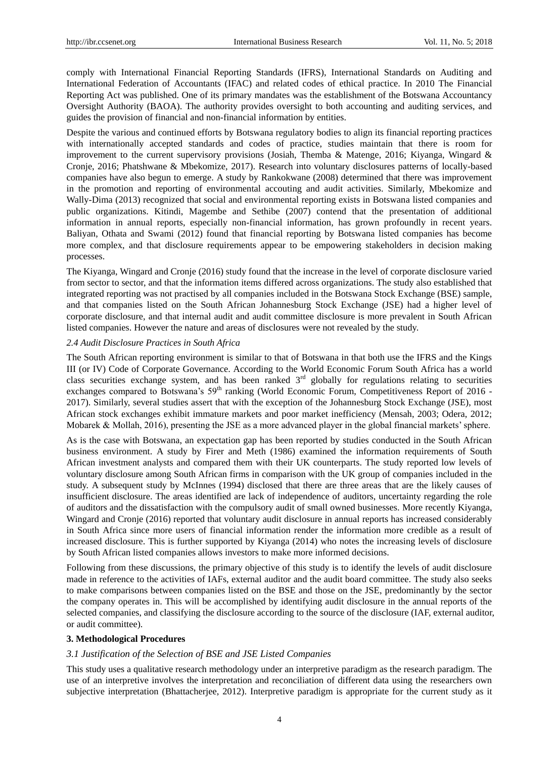comply with International Financial Reporting Standards (IFRS), International Standards on Auditing and International Federation of Accountants (IFAC) and related codes of ethical practice. In 2010 The Financial Reporting Act was published. One of its primary mandates was the establishment of the Botswana Accountancy Oversight Authority (BAOA). The authority provides oversight to both accounting and auditing services, and guides the provision of financial and non-financial information by entities.

Despite the various and continued efforts by Botswana regulatory bodies to align its financial reporting practices with internationally accepted standards and codes of practice, studies maintain that there is room for improvement to the current supervisory provisions (Josiah, Themba & Matenge, 2016; Kiyanga, Wingard & Cronje, 2016; Phatshwane & Mbekomize, 2017). Research into voluntary disclosures patterns of locally-based companies have also begun to emerge. A study by Rankokwane (2008) determined that there was improvement in the promotion and reporting of environmental accouting and audit activities. Similarly, Mbekomize and Wally-Dima (2013) recognized that social and environmental reporting exists in Botswana listed companies and public organizations. Kitindi, Magembe and Sethibe (2007) contend that the presentation of additional information in annual reports, especially non-financial information, has grown profoundly in recent years. Baliyan, Othata and Swami (2012) found that financial reporting by Botswana listed companies has become more complex, and that disclosure requirements appear to be empowering stakeholders in decision making processes.

The Kiyanga, Wingard and Cronje (2016) study found that the increase in the level of corporate disclosure varied from sector to sector, and that the information items differed across organizations. The study also established that integrated reporting was not practised by all companies included in the Botswana Stock Exchange (BSE) sample, and that companies listed on the South African Johannesburg Stock Exchange (JSE) had a higher level of corporate disclosure, and that internal audit and audit committee disclosure is more prevalent in South African listed companies. However the nature and areas of disclosures were not revealed by the study.

#### *2.4 Audit Disclosure Practices in South Africa*

The South African reporting environment is similar to that of Botswana in that both use the IFRS and the Kings III (or IV) Code of Corporate Governance. According to the World Economic Forum South Africa has a world class securities exchange system, and has been ranked 3<sup>rd</sup> globally for regulations relating to securities exchanges compared to Botswana's 59<sup>th</sup> ranking (World Economic Forum, Competitiveness Report of 2016 -2017). Similarly, several studies assert that with the exception of the Johannesburg Stock Exchange (JSE), most African stock exchanges exhibit immature markets and poor market inefficiency (Mensah, 2003; Odera, 2012; Mobarek & Mollah, 2016), presenting the JSE as a more advanced player in the global financial markets' sphere.

As is the case with Botswana, an expectation gap has been reported by studies conducted in the South African business environment. A study by Firer and Meth (1986) examined the information requirements of South African investment analysts and compared them with their UK counterparts. The study reported low levels of voluntary disclosure among South African firms in comparison with the UK group of companies included in the study. A subsequent study by McInnes (1994) disclosed that there are three areas that are the likely causes of insufficient disclosure. The areas identified are lack of independence of auditors, uncertainty regarding the role of auditors and the dissatisfaction with the compulsory audit of small owned businesses. More recently Kiyanga, Wingard and Cronje (2016) reported that voluntary audit disclosure in annual reports has increased considerably in South Africa since more users of financial information render the information more credible as a result of increased disclosure. This is further supported by Kiyanga (2014) who notes the increasing levels of disclosure by South African listed companies allows investors to make more informed decisions.

Following from these discussions, the primary objective of this study is to identify the levels of audit disclosure made in reference to the activities of IAFs, external auditor and the audit board committee. The study also seeks to make comparisons between companies listed on the BSE and those on the JSE, predominantly by the sector the company operates in. This will be accomplished by identifying audit disclosure in the annual reports of the selected companies, and classifying the disclosure according to the source of the disclosure (IAF, external auditor, or audit committee).

#### **3. Methodological Procedures**

#### *3.1 Justification of the Selection of BSE and JSE Listed Companies*

This study uses a qualitative research methodology under an interpretive paradigm as the research paradigm. The use of an interpretive involves the interpretation and reconciliation of different data using the researchers own subjective interpretation (Bhattacherjee, 2012). Interpretive paradigm is appropriate for the current study as it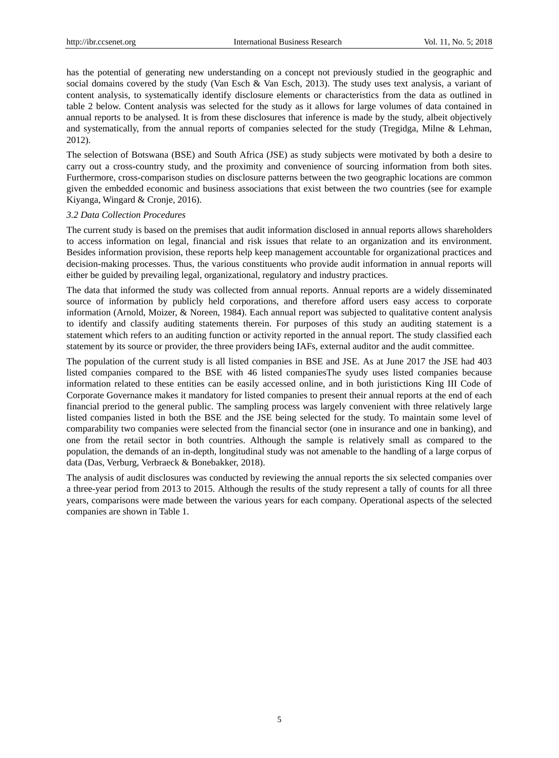has the potential of generating new understanding on a concept not previously studied in the geographic and social domains covered by the study (Van Esch & Van Esch, 2013). The study uses text analysis, a variant of content analysis, to systematically identify disclosure elements or characteristics from the data as outlined in table 2 below. Content analysis was selected for the study as it allows for large volumes of data contained in annual reports to be analysed. It is from these disclosures that inference is made by the study, albeit objectively and systematically, from the annual reports of companies selected for the study (Tregidga, Milne & Lehman, 2012).

The selection of Botswana (BSE) and South Africa (JSE) as study subjects were motivated by both a desire to carry out a cross-country study, and the proximity and convenience of sourcing information from both sites. Furthermore, cross-comparison studies on disclosure patterns between the two geographic locations are common given the embedded economic and business associations that exist between the two countries (see for example Kiyanga, Wingard & Cronje, 2016).

#### *3.2 Data Collection Procedures*

The current study is based on the premises that audit information disclosed in annual reports allows shareholders to access information on legal, financial and risk issues that relate to an organization and its environment. Besides information provision, these reports help keep management accountable for organizational practices and decision-making processes. Thus, the various constituents who provide audit information in annual reports will either be guided by prevailing legal, organizational, regulatory and industry practices.

The data that informed the study was collected from annual reports. Annual reports are a widely disseminated source of information by publicly held corporations, and therefore afford users easy access to corporate information (Arnold, Moizer, & Noreen, 1984). Each annual report was subjected to qualitative content analysis to identify and classify auditing statements therein. For purposes of this study an auditing statement is a statement which refers to an auditing function or activity reported in the annual report. The study classified each statement by its source or provider, the three providers being IAFs, external auditor and the audit committee.

The population of the current study is all listed companies in BSE and JSE. As at June 2017 the JSE had 403 listed companies compared to the BSE with 46 listed companiesThe syudy uses listed companies because information related to these entities can be easily accessed online, and in both juristictions King III Code of Corporate Governance makes it mandatory for listed companies to present their annual reports at the end of each financial preriod to the general public. The sampling process was largely convenient with three relatively large listed companies listed in both the BSE and the JSE being selected for the study. To maintain some level of comparability two companies were selected from the financial sector (one in insurance and one in banking), and one from the retail sector in both countries. Although the sample is relatively small as compared to the population, the demands of an in-depth, longitudinal study was not amenable to the handling of a large corpus of data (Das, Verburg, Verbraeck & Bonebakker, 2018).

The analysis of audit disclosures was conducted by reviewing the annual reports the six selected companies over a three-year period from 2013 to 2015. Although the results of the study represent a tally of counts for all three years, comparisons were made between the various years for each company. Operational aspects of the selected companies are shown in Table 1.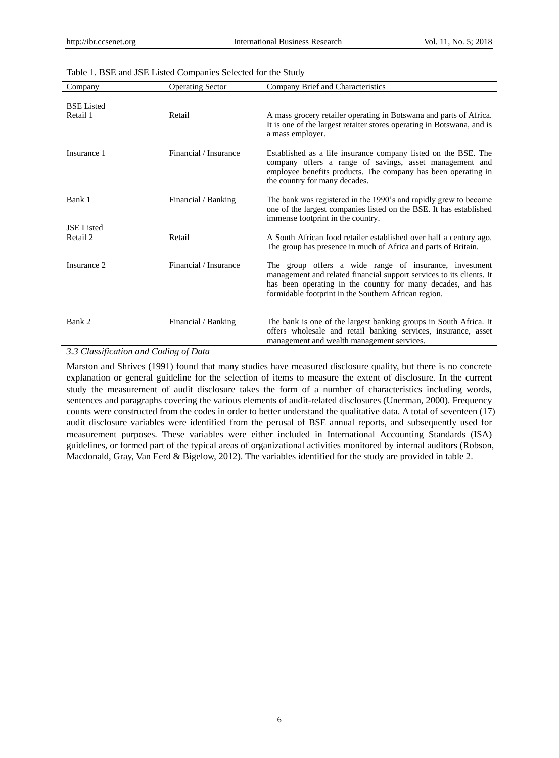| Company                       | <b>Operating Sector</b> | Company Brief and Characteristics                                                                                                                                                                                                                     |
|-------------------------------|-------------------------|-------------------------------------------------------------------------------------------------------------------------------------------------------------------------------------------------------------------------------------------------------|
| <b>BSE</b> Listed<br>Retail 1 | Retail                  | A mass grocery retailer operating in Botswana and parts of Africa.<br>It is one of the largest retaiter stores operating in Botswana, and is<br>a mass employer.                                                                                      |
| Insurance 1                   | Financial / Insurance   | Established as a life insurance company listed on the BSE. The<br>company offers a range of savings, asset management and<br>employee benefits products. The company has been operating in<br>the country for many decades.                           |
| Bank 1                        | Financial / Banking     | The bank was registered in the 1990's and rapidly grew to become<br>one of the largest companies listed on the BSE. It has established<br>immense footprint in the country.                                                                           |
| <b>JSE</b> Listed<br>Retail 2 | Retail                  | A South African food retailer established over half a century ago.<br>The group has presence in much of Africa and parts of Britain.                                                                                                                  |
| Insurance 2                   | Financial / Insurance   | The group offers a wide range of insurance, investment<br>management and related financial support services to its clients. It<br>has been operating in the country for many decades, and has<br>formidable footprint in the Southern African region. |
| Bank 2                        | Financial / Banking     | The bank is one of the largest banking groups in South Africa. It<br>offers wholesale and retail banking services, insurance, asset<br>management and wealth management services.                                                                     |

#### Table 1. BSE and JSE Listed Companies Selected for the Study

# *3.3 Classification and Coding of Data*

Marston and Shrives (1991) found that many studies have measured disclosure quality, but there is no concrete explanation or general guideline for the selection of items to measure the extent of disclosure. In the current study the measurement of audit disclosure takes the form of a number of characteristics including words, sentences and paragraphs covering the various elements of audit-related disclosures (Unerman, 2000). Frequency counts were constructed from the codes in order to better understand the qualitative data. A total of seventeen (17) audit disclosure variables were identified from the perusal of BSE annual reports, and subsequently used for measurement purposes. These variables were either included in International Accounting Standards (ISA) guidelines, or formed part of the typical areas of organizational activities monitored by internal auditors (Robson, Macdonald, Gray, Van Eerd & Bigelow, 2012). The variables identified for the study are provided in table 2.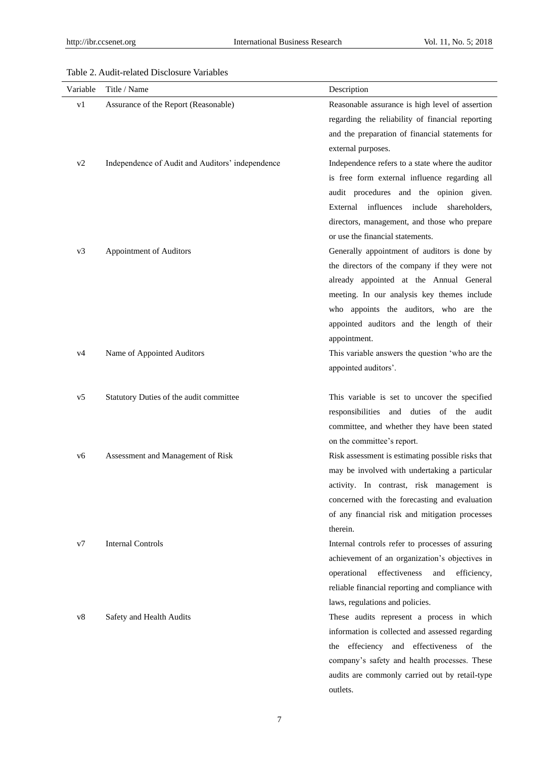# Table 2. Audit-related Disclosure Variables

| Variable | Title / Name                                     | Description                                        |
|----------|--------------------------------------------------|----------------------------------------------------|
| v1       | Assurance of the Report (Reasonable)             | Reasonable assurance is high level of assertion    |
|          |                                                  | regarding the reliability of financial reporting   |
|          |                                                  | and the preparation of financial statements for    |
|          |                                                  | external purposes.                                 |
| v2       | Independence of Audit and Auditors' independence | Independence refers to a state where the auditor   |
|          |                                                  | is free form external influence regarding all      |
|          |                                                  | audit procedures and the opinion given.            |
|          |                                                  | External influences include shareholders,          |
|          |                                                  | directors, management, and those who prepare       |
|          |                                                  | or use the financial statements.                   |
| v3       | Appointment of Auditors                          | Generally appointment of auditors is done by       |
|          |                                                  | the directors of the company if they were not      |
|          |                                                  | already appointed at the Annual General            |
|          |                                                  | meeting. In our analysis key themes include        |
|          |                                                  | who appoints the auditors, who are the             |
|          |                                                  | appointed auditors and the length of their         |
|          |                                                  | appointment.                                       |
| v4       | Name of Appointed Auditors                       | This variable answers the question 'who are the    |
|          |                                                  | appointed auditors'.                               |
| v5       | Statutory Duties of the audit committee          | This variable is set to uncover the specified      |
|          |                                                  | responsibilities and duties of the audit           |
|          |                                                  | committee, and whether they have been stated       |
|          |                                                  | on the committee's report.                         |
| v6       | Assessment and Management of Risk                | Risk assessment is estimating possible risks that  |
|          |                                                  | may be involved with undertaking a particular      |
|          |                                                  | activity. In contrast, risk management is          |
|          |                                                  | concerned with the forecasting and evaluation      |
|          |                                                  | of any financial risk and mitigation processes     |
|          |                                                  | therein.                                           |
| v7       | <b>Internal Controls</b>                         | Internal controls refer to processes of assuring   |
|          |                                                  | achievement of an organization's objectives in     |
|          |                                                  | effectiveness<br>operational<br>and<br>efficiency, |
|          |                                                  | reliable financial reporting and compliance with   |
|          |                                                  | laws, regulations and policies.                    |
| v8       | Safety and Health Audits                         | These audits represent a process in which          |
|          |                                                  | information is collected and assessed regarding    |
|          |                                                  | the effeciency and effectiveness of the            |
|          |                                                  | company's safety and health processes. These       |
|          |                                                  | audits are commonly carried out by retail-type     |
|          |                                                  | outlets.                                           |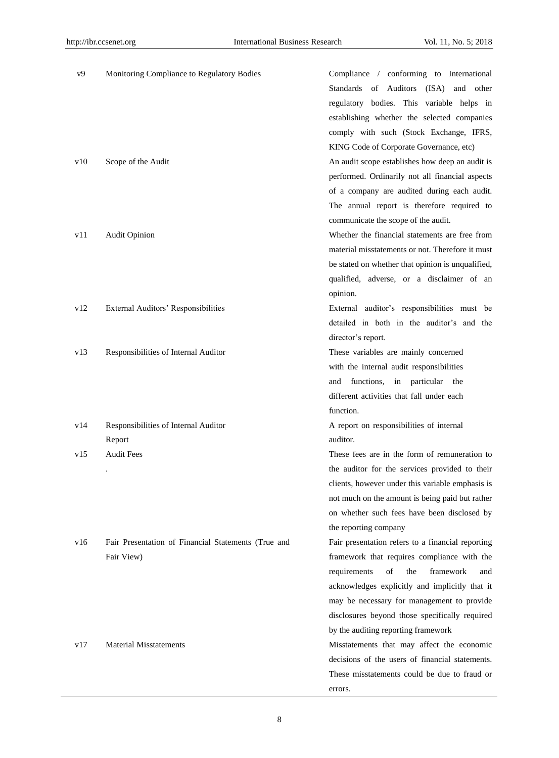| v9  | Monitoring Compliance to Regulatory Bodies          | Compliance / conforming to International          |
|-----|-----------------------------------------------------|---------------------------------------------------|
|     |                                                     | Standards of Auditors (ISA) and other             |
|     |                                                     | regulatory bodies. This variable helps in         |
|     |                                                     | establishing whether the selected companies       |
|     |                                                     | comply with such (Stock Exchange, IFRS,           |
|     |                                                     | KING Code of Corporate Governance, etc)           |
| v10 | Scope of the Audit                                  | An audit scope establishes how deep an audit is   |
|     |                                                     | performed. Ordinarily not all financial aspects   |
|     |                                                     | of a company are audited during each audit.       |
|     |                                                     | The annual report is therefore required to        |
|     |                                                     | communicate the scope of the audit.               |
| v11 | <b>Audit Opinion</b>                                | Whether the financial statements are free from    |
|     |                                                     | material misstatements or not. Therefore it must  |
|     |                                                     | be stated on whether that opinion is unqualified, |
|     |                                                     | qualified, adverse, or a disclaimer of an         |
|     |                                                     | opinion.                                          |
| v12 | External Auditors' Responsibilities                 | External auditor's responsibilities must be       |
|     |                                                     | detailed in both in the auditor's and the         |
|     |                                                     | director's report.                                |
| v13 | Responsibilities of Internal Auditor                | These variables are mainly concerned              |
|     |                                                     | with the internal audit responsibilities          |
|     |                                                     | functions, in particular<br>the<br>and            |
|     |                                                     | different activities that fall under each         |
|     |                                                     | function.                                         |
| v14 | Responsibilities of Internal Auditor                | A report on responsibilities of internal          |
|     | Report                                              | auditor.                                          |
| v15 | <b>Audit Fees</b>                                   | These fees are in the form of remuneration to     |
|     |                                                     | the auditor for the services provided to their    |
|     |                                                     | clients, however under this variable emphasis is  |
|     |                                                     | not much on the amount is being paid but rather   |
|     |                                                     | on whether such fees have been disclosed by       |
|     |                                                     | the reporting company                             |
| v16 | Fair Presentation of Financial Statements (True and | Fair presentation refers to a financial reporting |
|     | Fair View)                                          | framework that requires compliance with the       |
|     |                                                     | framework<br>requirements<br>of<br>the<br>and     |
|     |                                                     | acknowledges explicitly and implicitly that it    |
|     |                                                     | may be necessary for management to provide        |
|     |                                                     | disclosures beyond those specifically required    |
|     |                                                     | by the auditing reporting framework               |
| v17 | <b>Material Misstatements</b>                       | Misstatements that may affect the economic        |
|     |                                                     | decisions of the users of financial statements.   |
|     |                                                     | These misstatements could be due to fraud or      |
|     |                                                     | errors.                                           |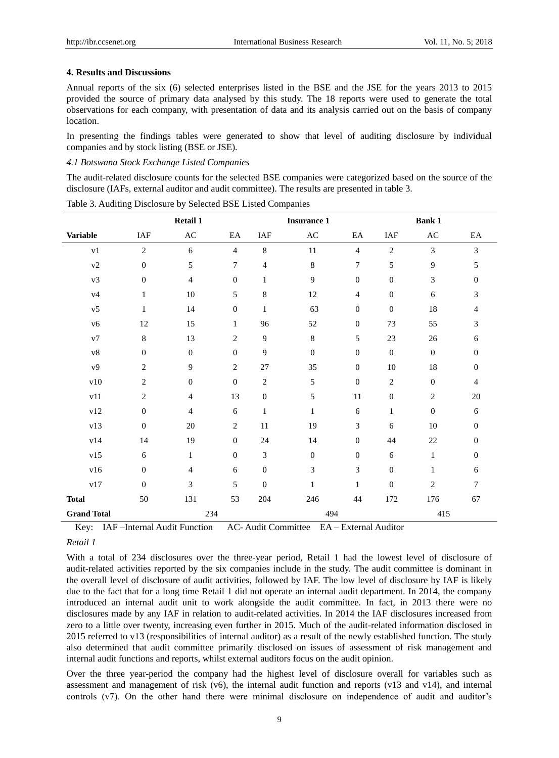#### **4. Results and Discussions**

Annual reports of the six (6) selected enterprises listed in the BSE and the JSE for the years 2013 to 2015 provided the source of primary data analysed by this study. The 18 reports were used to generate the total observations for each company, with presentation of data and its analysis carried out on the basis of company location.

In presenting the findings tables were generated to show that level of auditing disclosure by individual companies and by stock listing (BSE or JSE).

# *4.1 Botswana Stock Exchange Listed Companies*

The audit-related disclosure counts for the selected BSE companies were categorized based on the source of the disclosure (IAFs, external auditor and audit committee). The results are presented in table 3.

|                    |                  | <b>Retail 1</b>        |                  | <b>Insurance 1</b> |                        |                  | <b>Bank 1</b>    |                        |                  |
|--------------------|------------------|------------------------|------------------|--------------------|------------------------|------------------|------------------|------------------------|------------------|
| <b>Variable</b>    | IAF              | $\mathbf{A}\mathbf{C}$ | EA               | IAF                | $\mathbf{A}\mathbf{C}$ | $\rm EA$         | IAF              | $\mathbf{A}\mathbf{C}$ | $\rm EA$         |
| ${\rm v1}$         | $\overline{c}$   | $\sqrt{6}$             | $\overline{4}$   | $8\,$              | $11\,$                 | $\overline{4}$   | $\overline{2}$   | $\overline{3}$         | $\overline{3}$   |
| ${\rm v}2$         | $\boldsymbol{0}$ | $\sqrt{5}$             | $\overline{7}$   | $\overline{4}$     | $\,8\,$                | 7                | 5                | 9                      | 5                |
| ${\rm v}3$         | $\boldsymbol{0}$ | $\overline{4}$         | $\boldsymbol{0}$ | $\mathbf{1}$       | 9                      | $\boldsymbol{0}$ | $\boldsymbol{0}$ | $\mathfrak{Z}$         | $\boldsymbol{0}$ |
| v4                 | $\mathbf{1}$     | $10\,$                 | 5                | $\,8\,$            | 12                     | $\overline{4}$   | $\boldsymbol{0}$ | $\sqrt{6}$             | 3                |
| ${\rm v}5$         | $\mathbf{1}$     | 14                     | $\boldsymbol{0}$ | $\mathbf{1}$       | 63                     | $\boldsymbol{0}$ | $\boldsymbol{0}$ | 18                     | $\overline{4}$   |
| ${\tt v6}$         | 12               | 15                     | $\mathbf{1}$     | 96                 | 52                     | $\boldsymbol{0}$ | 73               | 55                     | $\mathfrak{Z}$   |
| ${\rm v}7$         | $8\,$            | 13                     | $\overline{2}$   | $\overline{9}$     | $\,8\,$                | 5                | 23               | $26\,$                 | 6                |
| ${\rm v}8$         | $\boldsymbol{0}$ | $\boldsymbol{0}$       | $\boldsymbol{0}$ | $\overline{9}$     | $\boldsymbol{0}$       | $\boldsymbol{0}$ | $\boldsymbol{0}$ | $\boldsymbol{0}$       | $\boldsymbol{0}$ |
| v9                 | $\boldsymbol{2}$ | 9                      | $\overline{c}$   | $27\,$             | 35                     | $\mathbf{0}$     | $10\,$           | $18\,$                 | $\boldsymbol{0}$ |
| ${\tt v10}$        | $\overline{c}$   | $\boldsymbol{0}$       | $\boldsymbol{0}$ | $\sqrt{2}$         | 5                      | $\boldsymbol{0}$ | $\mathbf{2}$     | $\boldsymbol{0}$       | $\overline{4}$   |
| v11                | $\boldsymbol{2}$ | $\overline{4}$         | 13               | $\boldsymbol{0}$   | 5                      | 11               | $\boldsymbol{0}$ | $\sqrt{2}$             | $20\,$           |
| v12                | $\boldsymbol{0}$ | $\overline{4}$         | $\sqrt{6}$       | $\mathbf{1}$       | $\mathbf{1}$           | $\sqrt{6}$       | $\mathbf{1}$     | $\boldsymbol{0}$       | $6\,$            |
| v13                | $\boldsymbol{0}$ | $20\,$                 | $\boldsymbol{2}$ | 11                 | 19                     | $\mathfrak{Z}$   | 6                | $10\,$                 | $\boldsymbol{0}$ |
| v14                | 14               | 19                     | $\boldsymbol{0}$ | $24\,$             | 14                     | $\boldsymbol{0}$ | 44               | $22\,$                 | $\boldsymbol{0}$ |
| v15                | 6                | $\mathbf{1}$           | $\boldsymbol{0}$ | $\mathfrak{Z}$     | $\boldsymbol{0}$       | $\boldsymbol{0}$ | $\sqrt{6}$       | $\mathbf{1}$           | $\overline{0}$   |
| v16                | $\boldsymbol{0}$ | $\overline{4}$         | 6                | $\boldsymbol{0}$   | 3                      | 3                | $\boldsymbol{0}$ | $\mathbf{1}$           | 6                |
| v17                | $\boldsymbol{0}$ | 3                      | 5                | $\boldsymbol{0}$   | $\mathbf{1}$           | $\mathbf{1}$     | $\boldsymbol{0}$ | $\sqrt{2}$             | $\overline{7}$   |
| <b>Total</b>       | 50               | 131                    | 53               | 204                | 246                    | 44               | 172              | 176                    | 67               |
| <b>Grand Total</b> |                  | 234                    |                  |                    | 494                    |                  |                  | 415                    |                  |

Table 3. Auditing Disclosure by Selected BSE Listed Companies

Key: IAF –Internal Audit Function AC- Audit Committee EA – External Auditor

*Retail 1* 

With a total of 234 disclosures over the three-year period, Retail 1 had the lowest level of disclosure of audit-related activities reported by the six companies include in the study. The audit committee is dominant in the overall level of disclosure of audit activities, followed by IAF. The low level of disclosure by IAF is likely due to the fact that for a long time Retail 1 did not operate an internal audit department. In 2014, the company introduced an internal audit unit to work alongside the audit committee. In fact, in 2013 there were no disclosures made by any IAF in relation to audit-related activities. In 2014 the IAF disclosures increased from zero to a little over twenty, increasing even further in 2015. Much of the audit-related information disclosed in 2015 referred to v13 (responsibilities of internal auditor) as a result of the newly established function. The study also determined that audit committee primarily disclosed on issues of assessment of risk management and internal audit functions and reports, whilst external auditors focus on the audit opinion.

Over the three year-period the company had the highest level of disclosure overall for variables such as assessment and management of risk  $(v6)$ , the internal audit function and reports  $(v13 \text{ and } v14)$ , and internal controls (v7). On the other hand there were minimal disclosure on independence of audit and auditor's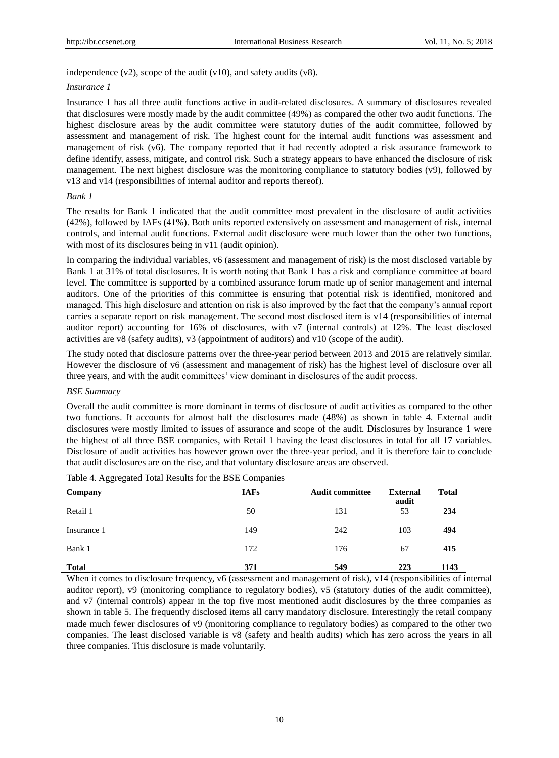independence  $(v2)$ , scope of the audit  $(v10)$ , and safety audits  $(v8)$ .

### *Insurance 1*

Insurance 1 has all three audit functions active in audit-related disclosures. A summary of disclosures revealed that disclosures were mostly made by the audit committee (49%) as compared the other two audit functions. The highest disclosure areas by the audit committee were statutory duties of the audit committee, followed by assessment and management of risk. The highest count for the internal audit functions was assessment and management of risk (v6). The company reported that it had recently adopted a risk assurance framework to define identify, assess, mitigate, and control risk. Such a strategy appears to have enhanced the disclosure of risk management. The next highest disclosure was the monitoring compliance to statutory bodies (v9), followed by v13 and v14 (responsibilities of internal auditor and reports thereof).

# *Bank 1*

The results for Bank 1 indicated that the audit committee most prevalent in the disclosure of audit activities (42%), followed by IAFs (41%). Both units reported extensively on assessment and management of risk, internal controls, and internal audit functions. External audit disclosure were much lower than the other two functions, with most of its disclosures being in v11 (audit opinion).

In comparing the individual variables, v6 (assessment and management of risk) is the most disclosed variable by Bank 1 at 31% of total disclosures. It is worth noting that Bank 1 has a risk and compliance committee at board level. The committee is supported by a combined assurance forum made up of senior management and internal auditors. One of the priorities of this committee is ensuring that potential risk is identified, monitored and managed. This high disclosure and attention on risk is also improved by the fact that the company"s annual report carries a separate report on risk management. The second most disclosed item is v14 (responsibilities of internal auditor report) accounting for 16% of disclosures, with v7 (internal controls) at 12%. The least disclosed activities are v8 (safety audits), v3 (appointment of auditors) and v10 (scope of the audit).

The study noted that disclosure patterns over the three-year period between 2013 and 2015 are relatively similar. However the disclosure of v6 (assessment and management of risk) has the highest level of disclosure over all three years, and with the audit committees" view dominant in disclosures of the audit process.

# *BSE Summary*

Overall the audit committee is more dominant in terms of disclosure of audit activities as compared to the other two functions. It accounts for almost half the disclosures made (48%) as shown in table 4. External audit disclosures were mostly limited to issues of assurance and scope of the audit. Disclosures by Insurance 1 were the highest of all three BSE companies, with Retail 1 having the least disclosures in total for all 17 variables. Disclosure of audit activities has however grown over the three-year period, and it is therefore fair to conclude that audit disclosures are on the rise, and that voluntary disclosure areas are observed.

| Company      | <b>IAFs</b> | <b>Audit committee</b> | <b>External</b><br>audit | <b>Total</b> |
|--------------|-------------|------------------------|--------------------------|--------------|
| Retail 1     | 50          | 131                    | 53                       | 234          |
| Insurance 1  | 149         | 242                    | 103                      | 494          |
| Bank 1       | 172         | 176                    | 67                       | 415          |
| <b>Total</b> | 371         | 549                    | 223                      | 1143         |

# Table 4. Aggregated Total Results for the BSE Companies

When it comes to disclosure frequency, v6 (assessment and management of risk), v14 (responsibilities of internal auditor report), v9 (monitoring compliance to regulatory bodies), v5 (statutory duties of the audit committee), and v7 (internal controls) appear in the top five most mentioned audit disclosures by the three companies as shown in table 5. The frequently disclosed items all carry mandatory disclosure. Interestingly the retail company made much fewer disclosures of v9 (monitoring compliance to regulatory bodies) as compared to the other two companies. The least disclosed variable is v8 (safety and health audits) which has zero across the years in all three companies. This disclosure is made voluntarily.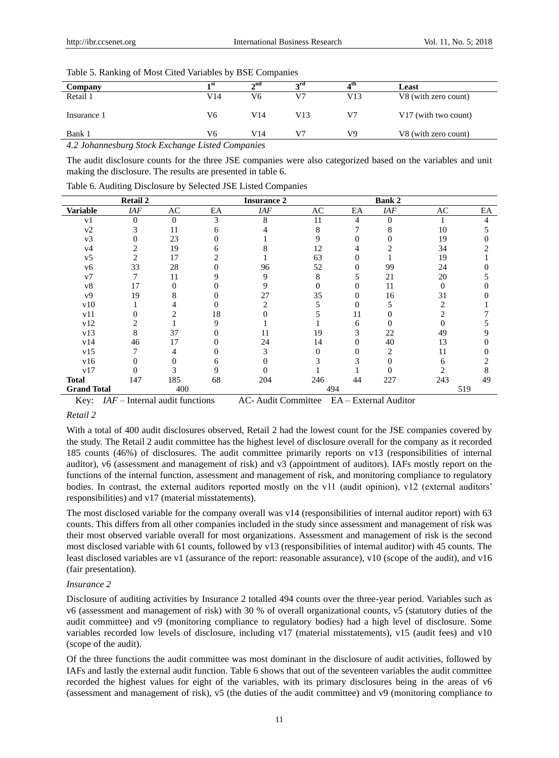|  |  |  | Table 5. Ranking of Most Cited Variables by BSE Companies |  |
|--|--|--|-----------------------------------------------------------|--|
|  |  |  |                                                           |  |

| Company     | 1 SU | $\boldsymbol{\gamma}$ nd | 2rd | ⊿tn | Least                            |
|-------------|------|--------------------------|-----|-----|----------------------------------|
| Retail 1    | V14  | V6                       |     | V13 | V8 (with zero count)             |
| Insurance 1 | V6   | V14                      | V13 | V7  | V <sub>17</sub> (with two count) |
| Bank 1      | V6   | V14                      |     | V9  | V8 (with zero count)             |
|             |      |                          |     |     |                                  |

*4.2 Johannesburg Stock Exchange Listed Companies*

The audit disclosure counts for the three JSE companies were also categorized based on the variables and unit making the disclosure. The results are presented in table 6.

| <b>Retail 2</b> |          |    | <b>Insurance 2</b> |     |    | <b>Bank 2</b> |     |     |
|-----------------|----------|----|--------------------|-----|----|---------------|-----|-----|
| <b>IAF</b>      | AC       | EA | IAF                | AC  | EA | IAF           | AC  | EA  |
| $\Omega$        | $\Omega$ | 3  | 8                  | 11  | 4  | $\Omega$      |     |     |
|                 | 11       | 6  |                    | 8   |    | 8             | 10  |     |
|                 | 23       |    |                    | 9   |    |               | 19  |     |
|                 | 19       |    |                    | 12  |    |               | 34  |     |
| 2               | 17       |    |                    | 63  |    |               | 19  |     |
| 33              | 28       |    | 96                 | 52  |    | 99            | 24  |     |
|                 | 11       |    | 9                  | 8   |    | 21            | 20  |     |
| 17              | $\Omega$ |    | 9                  | 0   | 0  | 11            | 0   |     |
| 19              | 8        |    | 27                 | 35  |    | 16            | 31  |     |
|                 |          |    |                    |     |    |               |     |     |
|                 |          | 18 |                    |     | 11 |               |     |     |
|                 |          |    |                    |     | 6  |               |     |     |
| 8               | 37       |    | 11                 | 19  | 3  | 22            | 49  |     |
| 46              | 17       |    | 24                 | 14  |    | 40            | 13  |     |
|                 |          |    | 3                  |     |    | ∍             | 11  |     |
|                 |          |    |                    |     |    |               |     |     |
|                 |          |    |                    |     |    |               |     | 8   |
| 147             | 185      | 68 | 204                | 246 | 44 | 227           | 243 | 49  |
|                 | 400      |    |                    |     |    |               |     |     |
|                 |          |    |                    |     |    | 494           |     | 519 |

Table 6. Auditing Disclosure by Selected JSE Listed Companies



# *Retail 2*

With a total of 400 audit disclosures observed, Retail 2 had the lowest count for the JSE companies covered by the study. The Retail 2 audit committee has the highest level of disclosure overall for the company as it recorded 185 counts (46%) of disclosures. The audit committee primarily reports on v13 (responsibilities of internal auditor), v6 (assessment and management of risk) and v3 (appointment of auditors). IAFs mostly report on the functions of the internal function, assessment and management of risk, and monitoring compliance to regulatory bodies. In contrast, the external auditors reported mostly on the v11 (audit opinion), v12 (external auditors' responsibilities) and v17 (material misstatements).

The most disclosed variable for the company overall was v14 (responsibilities of internal auditor report) with 63 counts. This differs from all other companies included in the study since assessment and management of risk was their most observed variable overall for most organizations. Assessment and management of risk is the second most disclosed variable with 61 counts, followed by v13 (responsibilities of internal auditor) with 45 counts. The least disclosed variables are v1 (assurance of the report: reasonable assurance), v10 (scope of the audit), and v16 (fair presentation).

# *Insurance 2*

Disclosure of auditing activities by Insurance 2 totalled 494 counts over the three-year period. Variables such as v6 (assessment and management of risk) with 30 % of overall organizational counts, v5 (statutory duties of the audit committee) and v9 (monitoring compliance to regulatory bodies) had a high level of disclosure. Some variables recorded low levels of disclosure, including v17 (material misstatements), v15 (audit fees) and v10 (scope of the audit).

Of the three functions the audit committee was most dominant in the disclosure of audit activities, followed by IAFs and lastly the external audit function. Table 6 shows that out of the seventeen variables the audit committee recorded the highest values for eight of the variables, with its primary disclosures being in the areas of v6 (assessment and management of risk), v5 (the duties of the audit committee) and v9 (monitoring compliance to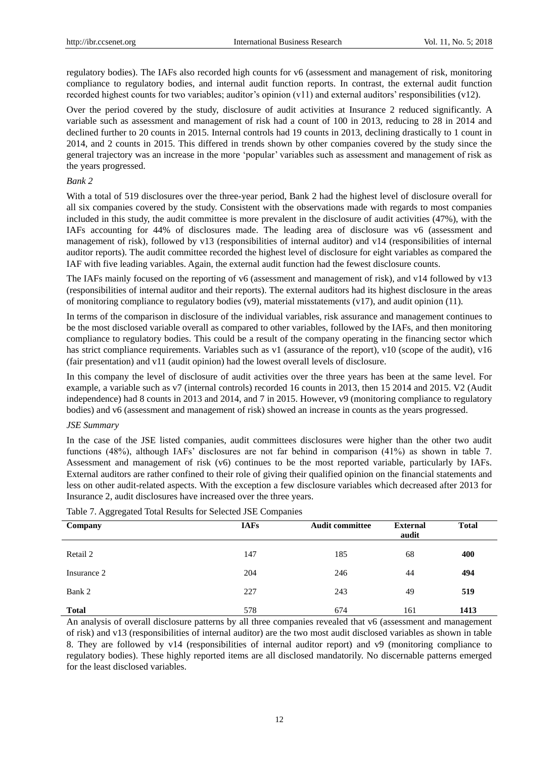regulatory bodies). The IAFs also recorded high counts for v6 (assessment and management of risk, monitoring compliance to regulatory bodies, and internal audit function reports. In contrast, the external audit function recorded highest counts for two variables; auditor's opinion  $(v11)$  and external auditors' responsibilities  $(v12)$ .

Over the period covered by the study, disclosure of audit activities at Insurance 2 reduced significantly. A variable such as assessment and management of risk had a count of 100 in 2013, reducing to 28 in 2014 and declined further to 20 counts in 2015. Internal controls had 19 counts in 2013, declining drastically to 1 count in 2014, and 2 counts in 2015. This differed in trends shown by other companies covered by the study since the general trajectory was an increase in the more "popular" variables such as assessment and management of risk as the years progressed.

### *Bank 2*

With a total of 519 disclosures over the three-year period, Bank 2 had the highest level of disclosure overall for all six companies covered by the study. Consistent with the observations made with regards to most companies included in this study, the audit committee is more prevalent in the disclosure of audit activities (47%), with the IAFs accounting for 44% of disclosures made. The leading area of disclosure was v6 (assessment and management of risk), followed by v13 (responsibilities of internal auditor) and v14 (responsibilities of internal auditor reports). The audit committee recorded the highest level of disclosure for eight variables as compared the IAF with five leading variables. Again, the external audit function had the fewest disclosure counts.

The IAFs mainly focused on the reporting of v6 (assessment and management of risk), and v14 followed by v13 (responsibilities of internal auditor and their reports). The external auditors had its highest disclosure in the areas of monitoring compliance to regulatory bodies  $(v9)$ , material misstatements  $(v17)$ , and audit opinion (11).

In terms of the comparison in disclosure of the individual variables, risk assurance and management continues to be the most disclosed variable overall as compared to other variables, followed by the IAFs, and then monitoring compliance to regulatory bodies. This could be a result of the company operating in the financing sector which has strict compliance requirements. Variables such as v1 (assurance of the report), v10 (scope of the audit), v16 (fair presentation) and v11 (audit opinion) had the lowest overall levels of disclosure.

In this company the level of disclosure of audit activities over the three years has been at the same level. For example, a variable such as v7 (internal controls) recorded 16 counts in 2013, then 15 2014 and 2015. V2 (Audit independence) had 8 counts in 2013 and 2014, and 7 in 2015. However, v9 (monitoring compliance to regulatory bodies) and v6 (assessment and management of risk) showed an increase in counts as the years progressed.

#### *JSE Summary*

In the case of the JSE listed companies, audit committees disclosures were higher than the other two audit functions (48%), although IAFs" disclosures are not far behind in comparison (41%) as shown in table 7. Assessment and management of risk (v6) continues to be the most reported variable, particularly by IAFs. External auditors are rather confined to their role of giving their qualified opinion on the financial statements and less on other audit-related aspects. With the exception a few disclosure variables which decreased after 2013 for Insurance 2, audit disclosures have increased over the three years.

| Company      | <b>IAFs</b> | <b>Audit committee</b> | <b>External</b><br>audit | <b>Total</b> |
|--------------|-------------|------------------------|--------------------------|--------------|
| Retail 2     | 147         | 185                    | 68                       | 400          |
| Insurance 2  | 204         | 246                    | 44                       | 494          |
| Bank 2       | 227         | 243                    | 49                       | 519          |
| <b>Total</b> | 578         | 674                    | 161                      | 1413         |

#### Table 7. Aggregated Total Results for Selected JSE Companies

An analysis of overall disclosure patterns by all three companies revealed that v6 (assessment and management of risk) and v13 (responsibilities of internal auditor) are the two most audit disclosed variables as shown in table 8. They are followed by v14 (responsibilities of internal auditor report) and v9 (monitoring compliance to regulatory bodies). These highly reported items are all disclosed mandatorily. No discernable patterns emerged for the least disclosed variables.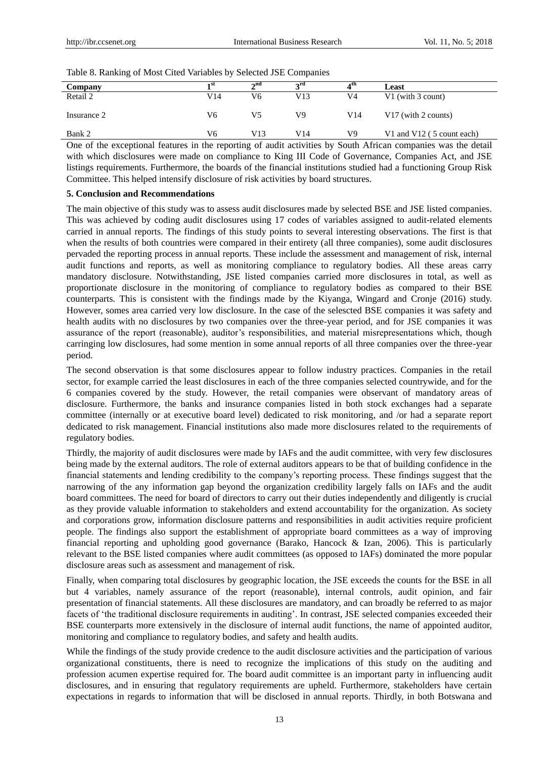|  |  |  |  | Table 8. Ranking of Most Cited Variables by Selected JSE Companies |
|--|--|--|--|--------------------------------------------------------------------|
|  |  |  |  |                                                                    |

| Company     | 1 SU | $\boldsymbol{\gamma}$ nd | 2rd | ⊿ <sup>tn</sup> | Least                           |
|-------------|------|--------------------------|-----|-----------------|---------------------------------|
| Retail 2    | V14  | V6                       | V13 | V4              | V1 (with 3 count)               |
| Insurance 2 | V6   | V5                       | V9  | V14             | V <sub>17</sub> (with 2 counts) |
| Bank 2      | V6   | V13                      | V14 | V9              | V1 and V12 (5 count each)       |

One of the exceptional features in the reporting of audit activities by South African companies was the detail with which disclosures were made on compliance to King III Code of Governance, Companies Act, and JSE listings requirements. Furthermore, the boards of the financial institutions studied had a functioning Group Risk Committee. This helped intensify disclosure of risk activities by board structures.

### **5. Conclusion and Recommendations**

The main objective of this study was to assess audit disclosures made by selected BSE and JSE listed companies. This was achieved by coding audit disclosures using 17 codes of variables assigned to audit-related elements carried in annual reports. The findings of this study points to several interesting observations. The first is that when the results of both countries were compared in their entirety (all three companies), some audit disclosures pervaded the reporting process in annual reports. These include the assessment and management of risk, internal audit functions and reports, as well as monitoring compliance to regulatory bodies. All these areas carry mandatory disclosure. Notwithstanding, JSE listed companies carried more disclosures in total, as well as proportionate disclosure in the monitoring of compliance to regulatory bodies as compared to their BSE counterparts. This is consistent with the findings made by the Kiyanga, Wingard and Cronje (2016) study. However, somes area carried very low disclosure. In the case of the selescted BSE companies it was safety and health audits with no disclosures by two companies over the three-year period, and for JSE companies it was assurance of the report (reasonable), auditor"s responsibilities, and material misrepresentations which, though carringing low disclosures, had some mention in some annual reports of all three companies over the three-year period.

The second observation is that some disclosures appear to follow industry practices. Companies in the retail sector, for example carried the least disclosures in each of the three companies selected countrywide, and for the 6 companies covered by the study. However, the retail companies were observant of mandatory areas of disclosure. Furthermore, the banks and insurance companies listed in both stock exchanges had a separate committee (internally or at executive board level) dedicated to risk monitoring, and /or had a separate report dedicated to risk management. Financial institutions also made more disclosures related to the requirements of regulatory bodies.

Thirdly, the majority of audit disclosures were made by IAFs and the audit committee, with very few disclosures being made by the external auditors. The role of external auditors appears to be that of building confidence in the financial statements and lending credibility to the company"s reporting process. These findings suggest that the narrowing of the any information gap beyond the organization credibility largely falls on IAFs and the audit board committees. The need for board of directors to carry out their duties independently and diligently is crucial as they provide valuable information to stakeholders and extend accountability for the organization. As society and corporations grow, information disclosure patterns and responsibilities in audit activities require proficient people. The findings also support the establishment of appropriate board committees as a way of improving financial reporting and upholding good governance (Barako, Hancock & Izan, 2006). This is particularly relevant to the BSE listed companies where audit committees (as opposed to IAFs) dominated the more popular disclosure areas such as assessment and management of risk.

Finally, when comparing total disclosures by geographic location, the JSE exceeds the counts for the BSE in all but 4 variables, namely assurance of the report (reasonable), internal controls, audit opinion, and fair presentation of financial statements. All these disclosures are mandatory, and can broadly be referred to as major facets of 'the traditional disclosure requirements in auditing'. In contrast, JSE selected companies exceeded their BSE counterparts more extensively in the disclosure of internal audit functions, the name of appointed auditor, monitoring and compliance to regulatory bodies, and safety and health audits.

While the findings of the study provide credence to the audit disclosure activities and the participation of various organizational constituents, there is need to recognize the implications of this study on the auditing and profession acumen expertise required for. The board audit committee is an important party in influencing audit disclosures, and in ensuring that regulatory requirements are upheld. Furthermore, stakeholders have certain expectations in regards to information that will be disclosed in annual reports. Thirdly, in both Botswana and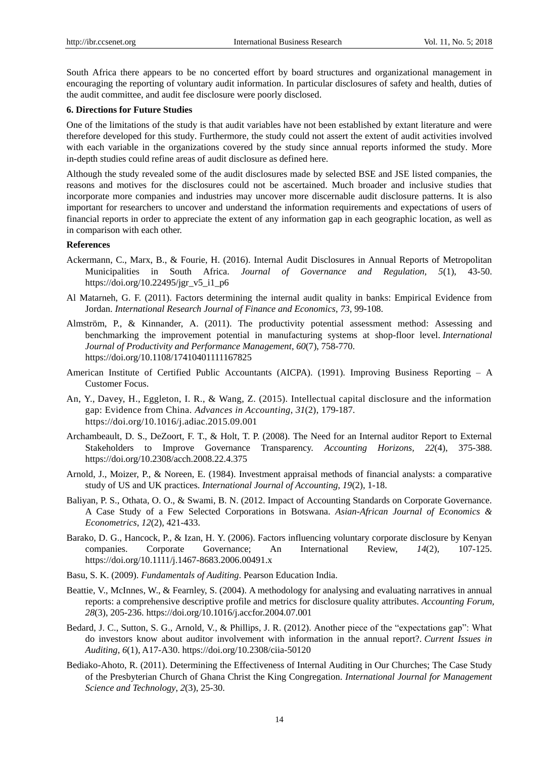South Africa there appears to be no concerted effort by board structures and organizational management in encouraging the reporting of voluntary audit information. In particular disclosures of safety and health, duties of the audit committee, and audit fee disclosure were poorly disclosed.

# **6. Directions for Future Studies**

One of the limitations of the study is that audit variables have not been established by extant literature and were therefore developed for this study. Furthermore, the study could not assert the extent of audit activities involved with each variable in the organizations covered by the study since annual reports informed the study. More in-depth studies could refine areas of audit disclosure as defined here.

Although the study revealed some of the audit disclosures made by selected BSE and JSE listed companies, the reasons and motives for the disclosures could not be ascertained. Much broader and inclusive studies that incorporate more companies and industries may uncover more discernable audit disclosure patterns. It is also important for researchers to uncover and understand the information requirements and expectations of users of financial reports in order to appreciate the extent of any information gap in each geographic location, as well as in comparison with each other.

### **References**

- Ackermann, C., Marx, B., & Fourie, H. (2016). Internal Audit Disclosures in Annual Reports of Metropolitan Municipalities in South Africa. *Journal of Governance and Regulation, 5*(1), 43-50. https://doi.org/10.22495/jgr\_v5\_i1\_p6
- Al Matarneh, G. F. (2011). Factors determining the internal audit quality in banks: Empirical Evidence from Jordan. *International Research Journal of Finance and Economics*, *73,* 99-108.
- Almström, P., & Kinnander, A. (2011). The productivity potential assessment method: Assessing and benchmarking the improvement potential in manufacturing systems at shop-floor level. *International Journal of Productivity and Performance Management*, *60*(7), 758-770. https://doi.org/10.1108/17410401111167825
- American Institute of Certified Public Accountants (AICPA). (1991). Improving Business Reporting A Customer Focus.
- [An,](http://www.emeraldinsight.com/author/An%2C+Yi) Y., [Davey,](http://www.emeraldinsight.com/author/Davey%2C+Howard) H., [Eggleton,](http://www.emeraldinsight.com/author/Eggleton%2C+Ian+Rc) I. R., & [Wang,](http://www.emeraldinsight.com/author/Wang%2C+Zhuquan) Z. (2015). Intellectual capital disclosure and the information gap: Evidence from China. *Advances in Accounting*, *31*(2), 179-187. https://doi.org/10.1016/j.adiac.2015.09.001
- Archambeault, D. S., DeZoort, F. T., & Holt, T. P. (2008). The Need for an Internal auditor Report to External Stakeholders to Improve Governance Transparency. *Accounting Horizons, 22*(4), 375-388. https://doi.org/10.2308/acch.2008.22.4.375
- Arnold, J., Moizer, P., & Noreen, E. (1984). Investment appraisal methods of financial analysts: a comparative study of US and UK practices. *International Journal of Accounting*, *19*(2), 1-18.
- Baliyan, P. S., Othata, O. O., & Swami, B. N. (2012. Impact of Accounting Standards on Corporate Governance. A Case Study of a Few Selected Corporations in Botswana. *Asian-African Journal of Economics & Econometrics*, *12*(2), 421-433.
- Barako, D. G., Hancock, P., & Izan, H. Y. (2006). Factors influencing voluntary corporate disclosure by Kenyan companies. Corporate Governance; An International Review, *14*(2), 107-125. https://doi.org/10.1111/j.1467-8683.2006.00491.x
- Basu, S. K. (2009). *Fundamentals of Auditing*. Pearson Education India.
- [Beattie, V.,](http://eprints.gla.ac.uk/view/author/12602.html) McInnes, W., & Fearnley, S. (2004). A methodology for analysing and evaluating narratives in annual reports: a comprehensive descriptive profile and metrics for disclosure quality attributes. *[Accounting Forum,](http://eprints.gla.ac.uk/view/journal_volume/Accounting_Forum.html)  28*(3), 205-236. https://doi.org/10.1016/j.accfor.2004.07.001
- Bedard, J. C., Sutton, S. G., Arnold, V., & Phillips, J. R. (2012). Another piece of the "expectations gap": What do investors know about auditor involvement with information in the annual report?. *Current Issues in Auditing*, *6*(1), A17-A30. https://doi.org/10.2308/ciia-50120
- Bediako-Ahoto, R. (2011). Determining the Effectiveness of Internal Auditing in Our Churches; The Case Study of the Presbyterian Church of Ghana Christ the King Congregation. *International Journal for Management Science and Technology*, *2*(3), 25-30.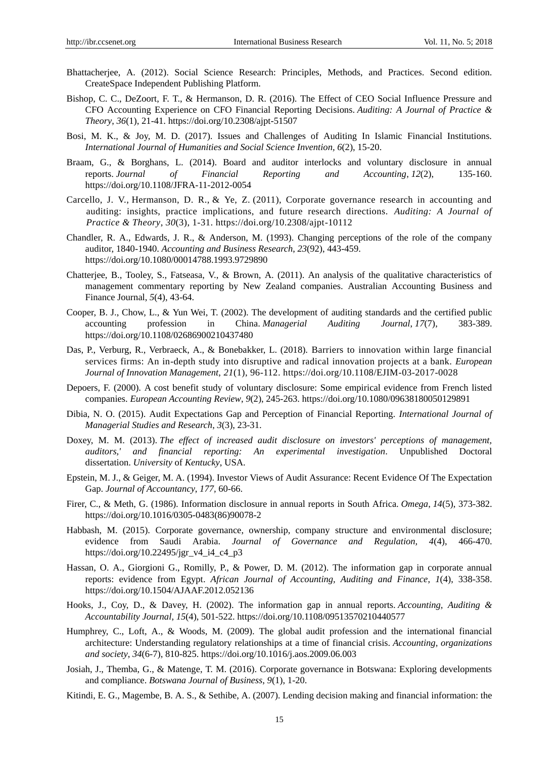- Bhattacherjee, A. (2012). Social Science Research: Principles, Methods, and Practices. Second edition. CreateSpace Independent Publishing Platform.
- Bishop, C. C., DeZoort, F. T., & Hermanson, D. R. (2016). The Effect of CEO Social Influence Pressure and CFO Accounting Experience on CFO Financial Reporting Decisions. *Auditing: A Journal of Practice & Theory*, *36*(1), 21-41. https://doi.org/10.2308/ajpt-51507
- Bosi, M. K., & Joy, M. D. (2017). Issues and Challenges of Auditing In Islamic Financial Institutions. *International Journal of Humanities and Social Science Invention, 6*(2), 15-20.
- Braam, G., & Borghans, L. (2014). Board and auditor interlocks and voluntary disclosure in annual reports. *Journal of Financial Reporting and Accounting*, *12*(2), 135-160. https://doi.org/10.1108/JFRA-11-2012-0054
- Carcello, J. V., Hermanson, D. R., & Ye, Z. (2011), Corporate governance research in accounting and auditing: insights, practice implications, and future research directions. *Auditing: A Journal of Practice & Theory*, *30*(3), 1-31. https://doi.org/10.2308/ajpt-10112
- Chandler, R. A., Edwards, J. R., & Anderson, M. (1993). Changing perceptions of the role of the company auditor, 1840-1940. *Accounting and Business Research*, *23*(92), 443-459. https://doi.org/10.1080/00014788.1993.9729890
- Chatterjee, B., Tooley, S., Fatseasa, V., & Brown, A. (2011). An analysis of the qualitative characteristics of management commentary reporting by New Zealand companies. Australian Accounting Business and Finance Journal, *5*(4), 43-64.
- Cooper, B. J., Chow, L., & Yun Wei, T. (2002). The development of auditing standards and the certified public accounting profession in China. *Managerial Auditing Journal*, *17*(7), 383-389. https://doi.org/10.1108/02686900210437480
- Das, P., Verburg, R., Verbraeck, A., & Bonebakker, L. (2018). Barriers to innovation within large financial services firms: An in-depth study into disruptive and radical innovation projects at a bank. *European Journal of Innovation Management*, *21*(1), 96-112. https://doi.org/10.1108/EJIM-03-2017-0028
- Depoers, F. (2000). A cost benefit study of voluntary disclosure: Some empirical evidence from French listed companies. *European Accounting Review*, *9*(2), 245-263. https://doi.org/10.1080/09638180050129891
- Dibia, N. O. (2015). Audit Expectations Gap and Perception of Financial Reporting*. International Journal of Managerial Studies and Research*, *3*(3), 23-31.
- Doxey, M. M. (2013). *The effect of increased audit disclosure on investors' perceptions of management, auditors,' and financial reporting: An experimental investigation*. Unpublished Doctoral dissertation. *University* of *Kentucky*, USA.
- Epstein, M. J., & Geiger, M. A. (1994). Investor Views of Audit Assurance: Recent Evidence Of The Expectation Gap. *Journal of Accountancy*, *177,* 60-66.
- Firer, C., & Meth, G. (1986). Information disclosure in annual reports in South Africa. *Omega*, *14*(5), 373-382. https://doi.org/10.1016/0305-0483(86)90078-2
- Habbash, M. (2015). Corporate governance, ownership, company structure and environmental disclosure; evidence from Saudi Arabia. *Journal of Governance and Regulation, 4*(4), 466-470. https://doi.org/10.22495/jgr\_v4\_i4\_c4\_p3
- Hassan, O. A., Giorgioni G., Romilly, P., & Power, D. M. (2012). [The information gap in corporate annual](https://scholar.google.com.vn/citations?view_op=view_citation&hl=ru&user=mBVBMVYAAAAJ&citation_for_view=mBVBMVYAAAAJ:zYLM7Y9cAGgC)  [reports: evidence from Egypt.](https://scholar.google.com.vn/citations?view_op=view_citation&hl=ru&user=mBVBMVYAAAAJ&citation_for_view=mBVBMVYAAAAJ:zYLM7Y9cAGgC) *African Journal of Accounting, Auditing and Finance*, *1*(4), 338-358. https://doi.org/10.1504/AJAAF.2012.052136
- Hooks, J., Coy, D., & Davey, H. (2002). The information gap in annual reports. *Accounting, Auditing & Accountability Journal*, *15*(4), 501-522. https://doi.org/10.1108/09513570210440577
- Humphrey, C., Loft, A., & Woods, M. (2009). The global audit profession and the international financial architecture: Understanding regulatory relationships at a time of financial crisis. *Accounting, organizations and society*, *34*(6-7), 810-825. https://doi.org/10.1016/j.aos.2009.06.003
- Josiah, J., Themba, G., & Matenge, T. M. (2016). Corporate governance in Botswana: Exploring developments and compliance. *Botswana Journal of Business*, *9*(1), 1-20.
- Kitindi, E. G., Magembe, B. A. S., & Sethibe, A. (2007). Lending decision making and financial information: the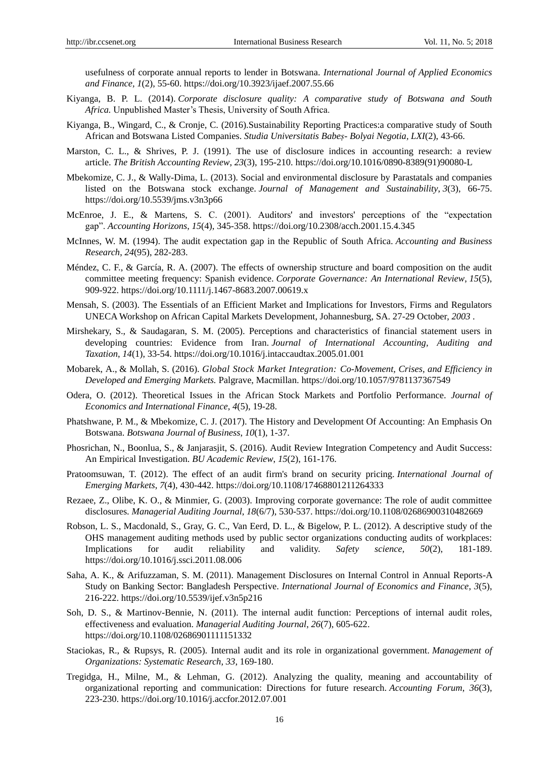usefulness of corporate annual reports to lender in Botswana. *International Journal of Applied Economics and Finance, 1*(2), 55-60. https://doi.org/10.3923/ijaef.2007.55.66

- Kiyanga, B. P. L. (2014). *Corporate disclosure quality: A comparative study of Botswana and South*  Africa. Unpublished Master's Thesis, University of South Africa.
- Kiyanga, B., Wingard, C., & Cronje, C. (2016).Sustainability Reporting Practices:a comparative study of South African and Botswana Listed Companies. *Studia Universitatis Babeṣ- Bolyai Negotia, LXI*(2), 43-66.
- Marston, C. L., & Shrives, P. J. (1991). The use of disclosure indices in accounting research: a review article. *The British Accounting Review*, *23*(3), 195-210. https://doi.org/10.1016/0890-8389(91)90080-L
- Mbekomize, C. J., & Wally-Dima, L. (2013). Social and environmental disclosure by Parastatals and companies listed on the Botswana stock exchange. *Journal of Management and Sustainability*, *3*(3), 66-75. https://doi.org/10.5539/jms.v3n3p66
- McEnroe, J. E., & Martens, S. C. (2001). Auditors' and investors' perceptions of the "expectation gap". *Accounting Horizons*, *15*(4), 345-358. https://doi.org/10.2308/acch.2001.15.4.345
- McInnes, W. M. (1994). The audit expectation gap in the Republic of South Africa. *Accounting and Business Research*, *24*(95), 282-283.
- Méndez, C. F., & García, R. A. (2007). The effects of ownership structure and board composition on the audit committee meeting frequency: Spanish evidence. *Corporate Governance: An International Review*, *15*(5), 909-922. https://doi.org/10.1111/j.1467-8683.2007.00619.x
- Mensah, S. (2003). The Essentials of an Efficient Market and Implications for Investors, Firms and Regulators UNECA Workshop on African Capital Markets Development, Johannesburg, SA. 27-29 October, *2003* .
- Mirshekary, S., & Saudagaran, S. M. (2005). Perceptions and characteristics of financial statement users in developing countries: Evidence from Iran. *Journal of International Accounting, Auditing and Taxation*, *14*(1), 33-54. https://doi.org/10.1016/j.intaccaudtax.2005.01.001
- [Mobarek,](https://link.springer.com/search?facet-creator=%22Asma+Mobarek%22) A., [& Mollah,](https://link.springer.com/search?facet-creator=%22Sabur+Mollah%22) S. (2016). *Global Stock Market Integration: Co-Movement, Crises, and Efficiency in Developed and Emerging Markets.* Palgrave, Macmillan. https://doi.org/10.1057/9781137367549
- Odera, O. (2012). Theoretical Issues in the African Stock Markets and Portfolio Performance. *Journal of Economics and International Finance*, *4*(5), 19-28.
- Phatshwane, P. M., & Mbekomize, C. J. (2017). The History and Development Of Accounting: An Emphasis On Botswana. *Botswana Journal of Business*, *10*(1), 1-37.
- Phosrichan, N., Boonlua, S., & Janjarasjit, S. (2016). Audit Review Integration Competency and Audit Success: An Empirical Investigation. *BU Academic Review*, *15*(2), 161-176.
- Pratoomsuwan, T. (2012). The effect of an audit firm's brand on security pricing. *International Journal of Emerging Markets*, *7*(4), 430-442. https://doi.org/10.1108/17468801211264333
- Rezaee, Z., Olibe, K. O., & Minmier, G. (2003). Improving corporate governance: The role of audit committee disclosures. *Managerial Auditing Journal*, *18*(6/7), 530-537. https://doi.org/10.1108/02686900310482669
- Robson, L. S., Macdonald, S., Gray, G. C., Van Eerd, D. L., & Bigelow, P. L. (2012). A descriptive study of the OHS management auditing methods used by public sector organizations conducting audits of workplaces: Implications for audit reliability and validity. *Safety science, 50*(2), 181-189. https://doi.org/10.1016/j.ssci.2011.08.006
- Saha, A. K., & Arifuzzaman, S. M. (2011). Management Disclosures on Internal Control in Annual Reports-A Study on Banking Sector: Bangladesh Perspective. *International Journal of Economics and Finance*, *3*(5), 216-222. https://doi.org/10.5539/ijef.v3n5p216
- Soh, D. S., & Martinov-Bennie, N. (2011). The internal audit function: Perceptions of internal audit roles, effectiveness and evaluation. *Managerial Auditing Journal*, *26*(7), 605-622. https://doi.org/10.1108/02686901111151332
- Staciokas, R., & Rupsys, R. (2005). Internal audit and its role in organizational government. *Management of Organizations: Systematic Research*, *33*, 169-180.
- Tregidga, H., Milne, M., & Lehman, G. (2012). Analyzing the quality, meaning and accountability of organizational reporting and communication: Directions for future research. *Accounting Forum*, *36*(3), 223-230. https://doi.org/10.1016/j.accfor.2012.07.001